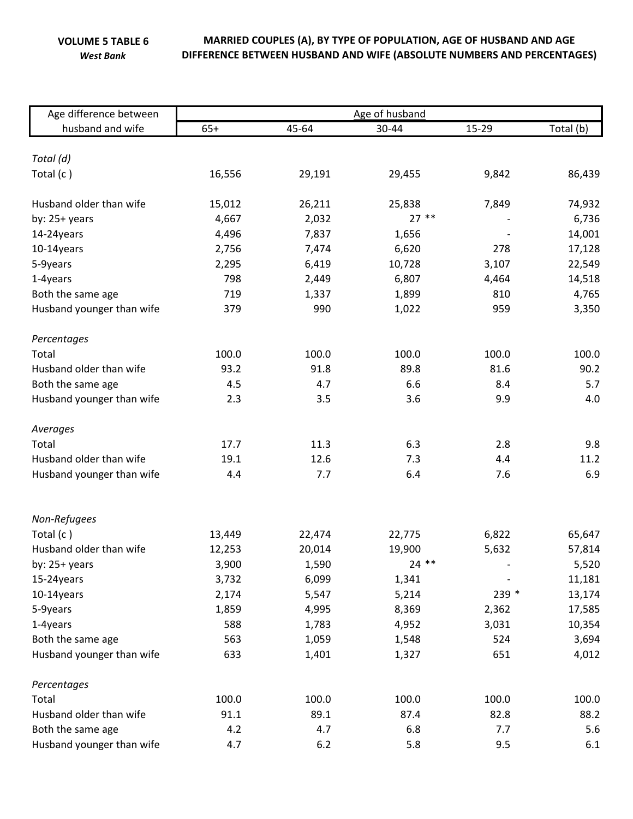**VOLUME 5 TABLE 6** *West Bank*

## **MARRIED COUPLES (A), BY TYPE OF POPULATION, AGE OF HUSBAND AND AGE DIFFERENCE BETWEEN HUSBAND AND WIFE (ABSOLUTE NUMBERS AND PERCENTAGES)**

| Age difference between    | Age of husband |        |         |       |           |  |  |
|---------------------------|----------------|--------|---------|-------|-----------|--|--|
| husband and wife          | $65+$          | 45-64  | 30-44   | 15-29 | Total (b) |  |  |
|                           |                |        |         |       |           |  |  |
| Total (d)                 |                |        |         |       |           |  |  |
| Total (c)                 | 16,556         | 29,191 | 29,455  | 9,842 | 86,439    |  |  |
| Husband older than wife   | 15,012         | 26,211 | 25,838  | 7,849 | 74,932    |  |  |
| by: $25+$ years           | 4,667          | 2,032  | $27**$  |       | 6,736     |  |  |
| 14-24years                | 4,496          | 7,837  | 1,656   |       | 14,001    |  |  |
| 10-14years                | 2,756          | 7,474  | 6,620   | 278   | 17,128    |  |  |
| 5-9years                  | 2,295          | 6,419  | 10,728  | 3,107 | 22,549    |  |  |
| 1-4years                  | 798            | 2,449  | 6,807   | 4,464 | 14,518    |  |  |
| Both the same age         | 719            | 1,337  | 1,899   | 810   | 4,765     |  |  |
| Husband younger than wife | 379            | 990    | 1,022   | 959   | 3,350     |  |  |
| Percentages               |                |        |         |       |           |  |  |
| Total                     | 100.0          | 100.0  | 100.0   | 100.0 | 100.0     |  |  |
| Husband older than wife   | 93.2           | 91.8   | 89.8    | 81.6  | 90.2      |  |  |
| Both the same age         | 4.5            | 4.7    | 6.6     | 8.4   | 5.7       |  |  |
| Husband younger than wife | 2.3            | 3.5    | 3.6     | 9.9   | 4.0       |  |  |
| Averages                  |                |        |         |       |           |  |  |
| Total                     | 17.7           | 11.3   | 6.3     | 2.8   | 9.8       |  |  |
| Husband older than wife   | 19.1           | 12.6   | 7.3     | 4.4   | 11.2      |  |  |
| Husband younger than wife | 4.4            | 7.7    | 6.4     | 7.6   | 6.9       |  |  |
|                           |                |        |         |       |           |  |  |
| Non-Refugees              |                |        |         |       |           |  |  |
| Total (c)                 | 13,449         | 22,474 | 22,775  | 6,822 | 65,647    |  |  |
| Husband older than wife   | 12,253         | 20,014 | 19,900  | 5,632 | 57,814    |  |  |
| by: 25+ years             | 3,900          | 1,590  | $24$ ** |       | 5,520     |  |  |
| 15-24years                | 3,732          | 6,099  | 1,341   |       | 11,181    |  |  |
| 10-14years                | 2,174          | 5,547  | 5,214   | 239 * | 13,174    |  |  |
| 5-9years                  | 1,859          | 4,995  | 8,369   | 2,362 | 17,585    |  |  |
| 1-4years                  | 588            | 1,783  | 4,952   | 3,031 | 10,354    |  |  |
| Both the same age         | 563            | 1,059  | 1,548   | 524   | 3,694     |  |  |
| Husband younger than wife | 633            | 1,401  | 1,327   | 651   | 4,012     |  |  |
| Percentages               |                |        |         |       |           |  |  |
| Total                     | 100.0          | 100.0  | 100.0   | 100.0 | 100.0     |  |  |
| Husband older than wife   | 91.1           | 89.1   | 87.4    | 82.8  | 88.2      |  |  |
| Both the same age         | 4.2            | 4.7    | 6.8     | 7.7   | 5.6       |  |  |
| Husband younger than wife | 4.7            | 6.2    | 5.8     | 9.5   | 6.1       |  |  |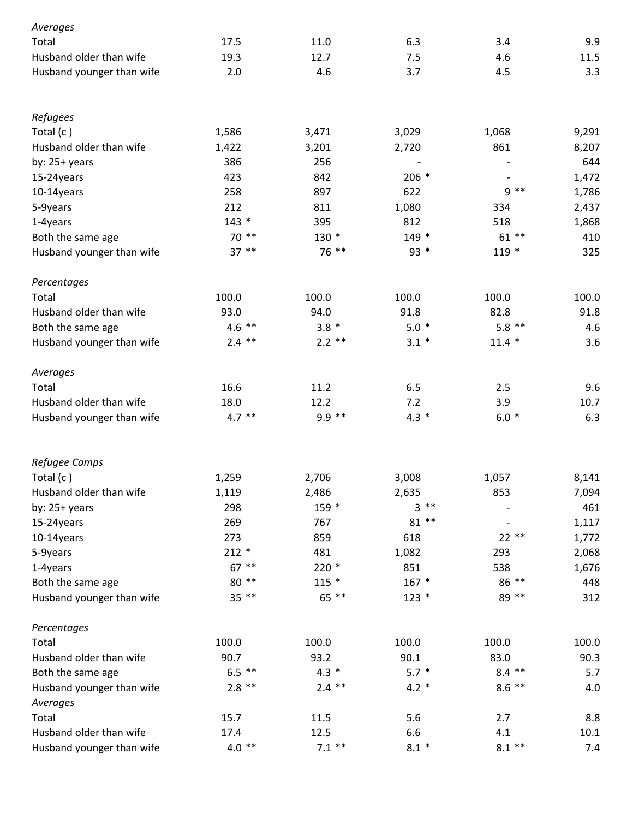| Averages                  |          |          |         |          |       |
|---------------------------|----------|----------|---------|----------|-------|
| Total                     | 17.5     | 11.0     | 6.3     | 3.4      | 9.9   |
| Husband older than wife   | 19.3     | 12.7     | 7.5     | 4.6      | 11.5  |
| Husband younger than wife | 2.0      | 4.6      | 3.7     | 4.5      | 3.3   |
| Refugees                  |          |          |         |          |       |
| Total (c)                 | 1,586    | 3,471    | 3,029   | 1,068    | 9,291 |
| Husband older than wife   | 1,422    | 3,201    | 2,720   | 861      | 8,207 |
| by: $25+$ years           | 386      | 256      |         |          | 644   |
| 15-24years                | 423      | 842      | $206 *$ |          | 1,472 |
| 10-14years                | 258      | 897      | 622     | $9 * *$  | 1,786 |
| 5-9years                  | 212      | 811      | 1,080   | 334      | 2,437 |
| 1-4years                  | $143 *$  | 395      | 812     | 518      | 1,868 |
| Both the same age         | 70 **    | $130*$   | $149*$  | $61***$  | 410   |
| Husband younger than wife | $37**$   | 76 **    | $93 *$  | $119*$   | 325   |
| Percentages               |          |          |         |          |       |
| Total                     | 100.0    | 100.0    | 100.0   | 100.0    | 100.0 |
| Husband older than wife   | 93.0     | 94.0     | 91.8    | 82.8     | 91.8  |
| Both the same age         | $4.6$ ** | $3.8*$   | $5.0*$  | $5.8$ ** | 4.6   |
| Husband younger than wife | $2.4$ ** | $2.2$ ** | $3.1 *$ | $11.4*$  | 3.6   |
| Averages                  |          |          |         |          |       |
| Total                     | 16.6     | 11.2     | 6.5     | 2.5      | 9.6   |
| Husband older than wife   | 18.0     | 12.2     | 7.2     | 3.9      | 10.7  |
| Husband younger than wife | $4.7$ ** | $9.9$ ** | $4.3 *$ | $6.0*$   | 6.3   |
| Refugee Camps             |          |          |         |          |       |
| Total (c)                 | 1,259    | 2,706    | 3,008   | 1,057    | 8,141 |
| Husband older than wife   | 1,119    | 2,486    | 2,635   | 853      | 7,094 |
| by: $25+$ years           | 298      | 159 *    | $3**$   |          | 461   |
| 15-24years                | 269      | 767      | $81**$  |          | 1,117 |
| 10-14years                | 273      | 859      | 618     | $22**$   | 1,772 |
| 5-9years                  | $212 *$  | 481      | 1,082   | 293      | 2,068 |
| 1-4years                  | $67$ **  | $220*$   | 851     | 538      | 1,676 |
| Both the same age         | 80 **    | $115 *$  | $167 *$ | 86 **    | 448   |
| Husband younger than wife | $35***$  | 65 **    | $123 *$ | 89 **    | 312   |
| Percentages               |          |          |         |          |       |
| Total                     | 100.0    | 100.0    | 100.0   | 100.0    | 100.0 |
| Husband older than wife   | 90.7     | 93.2     | 90.1    | 83.0     | 90.3  |
| Both the same age         | $6.5$ ** | $4.3 *$  | $5.7 *$ | $8.4$ ** | 5.7   |
| Husband younger than wife | $2.8$ ** | $2.4$ ** | $4.2 *$ | $8.6$ ** | 4.0   |
| Averages                  |          |          |         |          |       |
| Total                     | 15.7     | 11.5     | 5.6     | 2.7      | 8.8   |
| Husband older than wife   | 17.4     | 12.5     | 6.6     | 4.1      | 10.1  |
| Husband younger than wife | $4.0**$  | $7.1$ ** | $8.1 *$ | $8.1**$  | 7.4   |